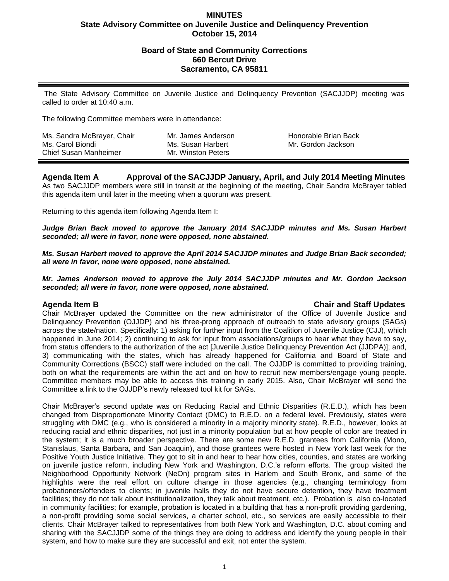## **MINUTES State Advisory Committee on Juvenile Justice and Delinquency Prevention October 15, 2014**

## **Board of State and Community Corrections 660 Bercut Drive Sacramento, CA 95811**

The State Advisory Committee on Juvenile Justice and Delinquency Prevention (SACJJDP) meeting was called to order at 10:40 a.m.

The following Committee members were in attendance:

| Ms. Sandra McBrayer, Chair<br>Ms. Carol Biondi<br><b>Chief Susan Manheimer</b> | Mr. James Anderson<br>Ms. Susan Harbert<br>Mr. Winston Peters | Honorable Brian Back<br>Mr. Gordon Jackson |  |
|--------------------------------------------------------------------------------|---------------------------------------------------------------|--------------------------------------------|--|
|--------------------------------------------------------------------------------|---------------------------------------------------------------|--------------------------------------------|--|

# **Agenda Item A Approval of the SACJJDP January, April, and July 2014 Meeting Minutes**

As two SACJJDP members were still in transit at the beginning of the meeting, Chair Sandra McBrayer tabled this agenda item until later in the meeting when a quorum was present.

Returning to this agenda item following Agenda Item I:

*Judge Brian Back moved to approve the January 2014 SACJJDP minutes and Ms. Susan Harbert seconded; all were in favor, none were opposed, none abstained.*

*Ms. Susan Harbert moved to approve the April 2014 SACJJDP minutes and Judge Brian Back seconded; all were in favor, none were opposed, none abstained.*

*Mr. James Anderson moved to approve the July 2014 SACJJDP minutes and Mr. Gordon Jackson seconded; all were in favor, none were opposed, none abstained.*

## **Agenda Item B Chair and Staff Updates**

Chair McBrayer updated the Committee on the new administrator of the Office of Juvenile Justice and Delinquency Prevention (OJJDP) and his three-prong approach of outreach to state advisory groups (SAGs) across the state/nation. Specifically: 1) asking for further input from the Coalition of Juvenile Justice (CJJ), which happened in June 2014; 2) continuing to ask for input from associations/groups to hear what they have to say, from status offenders to the authorization of the act [Juvenile Justice Delinquency Prevention Act (JJDPA)]; and, 3) communicating with the states, which has already happened for California and Board of State and Community Corrections (BSCC) staff were included on the call. The OJJDP is committed to providing training, both on what the requirements are within the act and on how to recruit new members/engage young people. Committee members may be able to access this training in early 2015. Also, Chair McBrayer will send the Committee a link to the OJJDP's newly released tool kit for SAGs.

Chair McBrayer's second update was on Reducing Racial and Ethnic Disparities (R.E.D.), which has been changed from Disproportionate Minority Contact (DMC) to R.E.D. on a federal level. Previously, states were struggling with DMC (e.g., who is considered a minority in a majority minority state). R.E.D., however, looks at reducing racial and ethnic disparities, not just in a minority population but at how people of color are treated in the system; it is a much broader perspective. There are some new R.E.D. grantees from California (Mono, Stanislaus, Santa Barbara, and San Joaquin), and those grantees were hosted in New York last week for the Positive Youth Justice Initiative. They got to sit in and hear to hear how cities, counties, and states are working on juvenile justice reform, including New York and Washington, D.C.'s reform efforts. The group visited the Neighborhood Opportunity Network (NeOn) program sites in Harlem and South Bronx, and some of the highlights were the real effort on culture change in those agencies (e.g., changing terminology from probationers/offenders to clients; in juvenile halls they do not have secure detention, they have treatment facilities; they do not talk about institutionalization, they talk about treatment, etc.). Probation is also co-located in community facilities; for example, probation is located in a building that has a non-profit providing gardening, a non-profit providing some social services, a charter school, etc., so services are easily accessible to their clients. Chair McBrayer talked to representatives from both New York and Washington, D.C. about coming and sharing with the SACJJDP some of the things they are doing to address and identify the young people in their system, and how to make sure they are successful and exit, not enter the system.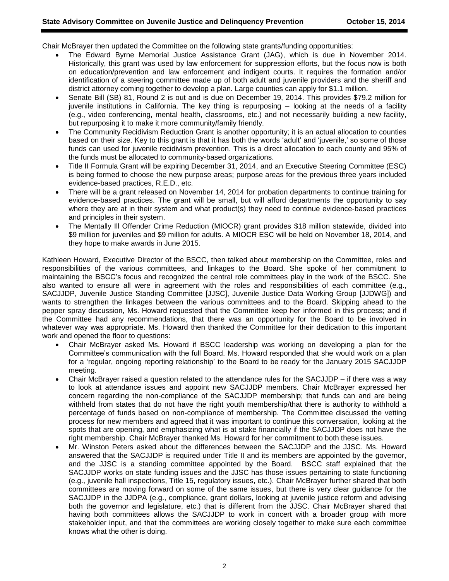Chair McBrayer then updated the Committee on the following state grants/funding opportunities:

- The Edward Byrne Memorial Justice Assistance Grant (JAG), which is due in November 2014. Historically, this grant was used by law enforcement for suppression efforts, but the focus now is both on education/prevention and law enforcement and indigent courts. It requires the formation and/or identification of a steering committee made up of both adult and juvenile providers and the sheriff and district attorney coming together to develop a plan. Large counties can apply for \$1.1 million.
- Senate Bill (SB) 81, Round 2 is out and is due on December 19, 2014. This provides \$79.2 million for juvenile institutions in California. The key thing is repurposing – looking at the needs of a facility (e.g., video conferencing, mental health, classrooms, etc.) and not necessarily building a new facility, but repurposing it to make it more community/family friendly.
- The Community Recidivism Reduction Grant is another opportunity; it is an actual allocation to counties based on their size. Key to this grant is that it has both the words 'adult' and 'juvenile,' so some of those funds can used for juvenile recidivism prevention. This is a direct allocation to each county and 95% of the funds must be allocated to community-based organizations.
- Title II Formula Grant will be expiring December 31, 2014, and an Executive Steering Committee (ESC) is being formed to choose the new purpose areas; purpose areas for the previous three years included evidence-based practices, R.E.D., etc.
- There will be a grant released on November 14, 2014 for probation departments to continue training for evidence-based practices. The grant will be small, but will afford departments the opportunity to say where they are at in their system and what product(s) they need to continue evidence-based practices and principles in their system.
- The Mentally Ill Offender Crime Reduction (MIOCR) grant provides \$18 million statewide, divided into \$9 million for juveniles and \$9 million for adults. A MIOCR ESC will be held on November 18, 2014, and they hope to make awards in June 2015.

Kathleen Howard, Executive Director of the BSCC, then talked about membership on the Committee, roles and responsibilities of the various committees, and linkages to the Board. She spoke of her commitment to maintaining the BSCC's focus and recognized the central role committees play in the work of the BSCC. She also wanted to ensure all were in agreement with the roles and responsibilities of each committee (e.g., SACJJDP, Juvenile Justice Standing Committee [JJSC], Juvenile Justice Data Working Group [JJDWG]) and wants to strengthen the linkages between the various committees and to the Board. Skipping ahead to the pepper spray discussion, Ms. Howard requested that the Committee keep her informed in this process; and if the Committee had any recommendations, that there was an opportunity for the Board to be involved in whatever way was appropriate. Ms. Howard then thanked the Committee for their dedication to this important work and opened the floor to questions:

- Chair McBrayer asked Ms. Howard if BSCC leadership was working on developing a plan for the Committee's communication with the full Board. Ms. Howard responded that she would work on a plan for a 'regular, ongoing reporting relationship' to the Board to be ready for the January 2015 SACJJDP meeting.
- Chair McBrayer raised a question related to the attendance rules for the SACJJDP if there was a way to look at attendance issues and appoint new SACJJDP members. Chair McBrayer expressed her concern regarding the non-compliance of the SACJJDP membership; that funds can and are being withheld from states that do not have the right youth membership/that there is authority to withhold a percentage of funds based on non-compliance of membership. The Committee discussed the vetting process for new members and agreed that it was important to continue this conversation, looking at the spots that are opening, and emphasizing what is at stake financially if the SACJJDP does not have the right membership. Chair McBrayer thanked Ms. Howard for her commitment to both these issues.
- Mr. Winston Peters asked about the differences between the SACJJDP and the JJSC. Ms. Howard answered that the SACJJDP is required under Title II and its members are appointed by the governor, and the JJSC is a standing committee appointed by the Board. BSCC staff explained that the SACJJDP works on state funding issues and the JJSC has those issues pertaining to state functioning (e.g., juvenile hall inspections, Title 15, regulatory issues, etc.). Chair McBrayer further shared that both committees are moving forward on some of the same issues, but there is very clear guidance for the SACJJDP in the JJDPA (e.g., compliance, grant dollars, looking at juvenile justice reform and advising both the governor and legislature, etc.) that is different from the JJSC. Chair McBrayer shared that having both committees allows the SACJJDP to work in concert with a broader group with more stakeholder input, and that the committees are working closely together to make sure each committee knows what the other is doing.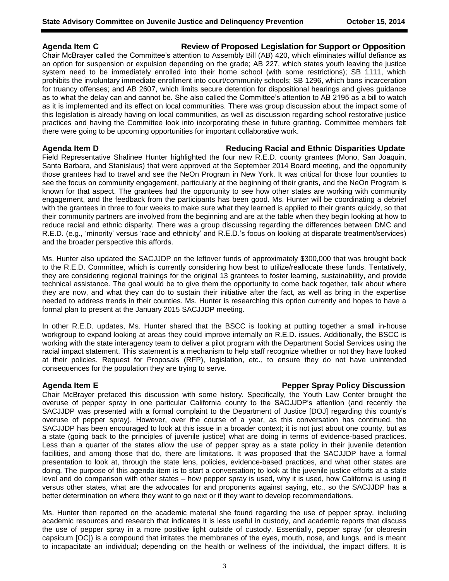## **Agenda Item C Review of Proposed Legislation for Support or Opposition**

Chair McBrayer called the Committee's attention to Assembly Bill (AB) 420, which eliminates willful defiance as an option for suspension or expulsion depending on the grade; AB 227, which states youth leaving the justice system need to be immediately enrolled into their home school (with some restrictions); SB 1111, which prohibits the involuntary immediate enrollment into court/community schools; SB 1296, which bans incarceration for truancy offenses; and AB 2607, which limits secure detention for dispositional hearings and gives guidance as to what the delay can and cannot be. She also called the Committee's attention to AB 2195 as a bill to watch as it is implemented and its effect on local communities. There was group discussion about the impact some of this legislation is already having on local communities, as well as discussion regarding school restorative justice practices and having the Committee look into incorporating these in future granting. Committee members felt there were going to be upcoming opportunities for important collaborative work.

### **Agenda Item D Reducing Racial and Ethnic Disparities Update**

Field Representative Shalinee Hunter highlighted the four new R.E.D. county grantees (Mono, San Joaquin, Santa Barbara, and Stanislaus) that were approved at the September 2014 Board meeting, and the opportunity those grantees had to travel and see the NeOn Program in New York. It was critical for those four counties to see the focus on community engagement, particularly at the beginning of their grants, and the NeOn Program is known for that aspect. The grantees had the opportunity to see how other states are working with community engagement, and the feedback from the participants has been good. Ms. Hunter will be coordinating a debrief with the grantees in three to four weeks to make sure what they learned is applied to their grants quickly, so that their community partners are involved from the beginning and are at the table when they begin looking at how to reduce racial and ethnic disparity. There was a group discussing regarding the differences between DMC and R.E.D. (e.g., 'minority' versus 'race and ethnicity' and R.E.D.'s focus on looking at disparate treatment/services) and the broader perspective this affords.

Ms. Hunter also updated the SACJJDP on the leftover funds of approximately \$300,000 that was brought back to the R.E.D. Committee, which is currently considering how best to utilize/reallocate these funds. Tentatively, they are considering regional trainings for the original 13 grantees to foster learning, sustainability, and provide technical assistance. The goal would be to give them the opportunity to come back together, talk about where they are now, and what they can do to sustain their initiative after the fact, as well as bring in the expertise needed to address trends in their counties. Ms. Hunter is researching this option currently and hopes to have a formal plan to present at the January 2015 SACJJDP meeting.

In other R.E.D. updates, Ms. Hunter shared that the BSCC is looking at putting together a small in-house workgroup to expand looking at areas they could improve internally on R.E.D. issues. Additionally, the BSCC is working with the state interagency team to deliver a pilot program with the Department Social Services using the racial impact statement. This statement is a mechanism to help staff recognize whether or not they have looked at their policies, Request for Proposals (RFP), legislation, etc., to ensure they do not have unintended consequences for the population they are trying to serve.

### **Agenda Item E Pepper Spray Policy Discussion**

Chair McBrayer prefaced this discussion with some history. Specifically, the Youth Law Center brought the overuse of pepper spray in one particular California county to the SACJJDP's attention (and recently the SACJJDP was presented with a formal complaint to the Department of Justice [DOJ] regarding this county's overuse of pepper spray). However, over the course of a year, as this conversation has continued, the SACJJDP has been encouraged to look at this issue in a broader context; it is not just about one county, but as a state (going back to the principles of juvenile justice) what are doing in terms of evidence-based practices. Less than a quarter of the states allow the use of pepper spray as a state policy in their juvenile detention facilities, and among those that do, there are limitations. It was proposed that the SACJJDP have a formal presentation to look at, through the state lens, policies, evidence-based practices, and what other states are doing. The purpose of this agenda item is to start a conversation; to look at the juvenile justice efforts at a state level and do comparison with other states – how pepper spray is used, why it is used, how California is using it versus other states, what are the advocates for and proponents against saying, etc., so the SACJJDP has a better determination on where they want to go next or if they want to develop recommendations.

Ms. Hunter then reported on the academic material she found regarding the use of pepper spray, including academic resources and research that indicates it is less useful in custody, and academic reports that discuss the use of pepper spray in a more positive light outside of custody. Essentially, pepper spray (or oleoresin capsicum [OC]) is a compound that irritates the membranes of the eyes, mouth, nose, and lungs, and is meant to incapacitate an individual; depending on the health or wellness of the individual, the impact differs. It is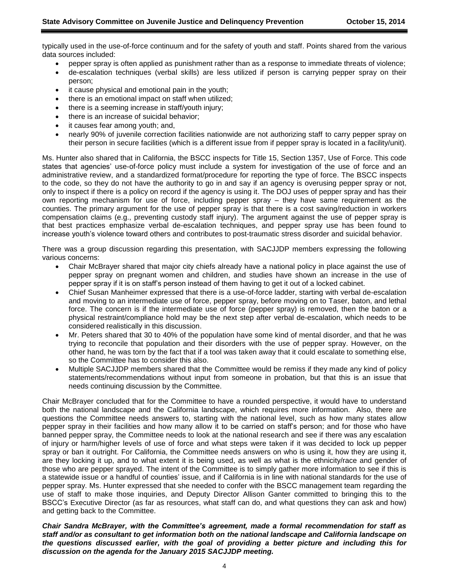typically used in the use-of-force continuum and for the safety of youth and staff. Points shared from the various data sources included:

- pepper spray is often applied as punishment rather than as a response to immediate threats of violence;
- de-escalation techniques (verbal skills) are less utilized if person is carrying pepper spray on their person;
- it cause physical and emotional pain in the youth;
- there is an emotional impact on staff when utilized;
- there is a seeming increase in staff/youth injury;
- there is an increase of suicidal behavior;
- it causes fear among youth; and,
- nearly 90% of juvenile correction facilities nationwide are not authorizing staff to carry pepper spray on their person in secure facilities (which is a different issue from if pepper spray is located in a facility/unit).

Ms. Hunter also shared that in California, the BSCC inspects for Title 15, Section 1357, Use of Force. This code states that agencies' use-of-force policy must include a system for investigation of the use of force and an administrative review, and a standardized format/procedure for reporting the type of force. The BSCC inspects to the code, so they do not have the authority to go in and say if an agency is overusing pepper spray or not, only to inspect if there is a policy on record if the agency is using it. The DOJ uses of pepper spray and has their own reporting mechanism for use of force, including pepper spray – they have same requirement as the counties. The primary argument for the use of pepper spray is that there is a cost saving/reduction in workers compensation claims (e.g., preventing custody staff injury). The argument against the use of pepper spray is that best practices emphasize verbal de-escalation techniques, and pepper spray use has been found to increase youth's violence toward others and contributes to post-traumatic stress disorder and suicidal behavior.

There was a group discussion regarding this presentation, with SACJJDP members expressing the following various concerns:

- Chair McBrayer shared that major city chiefs already have a national policy in place against the use of pepper spray on pregnant women and children, and studies have shown an increase in the use of pepper spray if it is on staff's person instead of them having to get it out of a locked cabinet.
- Chief Susan Manheimer expressed that there is a use-of-force ladder, starting with verbal de-escalation and moving to an intermediate use of force, pepper spray, before moving on to Taser, baton, and lethal force. The concern is if the intermediate use of force (pepper spray) is removed, then the baton or a physical restraint/compliance hold may be the next step after verbal de-escalation, which needs to be considered realistically in this discussion.
- Mr. Peters shared that 30 to 40% of the population have some kind of mental disorder, and that he was trying to reconcile that population and their disorders with the use of pepper spray. However, on the other hand, he was torn by the fact that if a tool was taken away that it could escalate to something else, so the Committee has to consider this also.
- Multiple SACJJDP members shared that the Committee would be remiss if they made any kind of policy statements/recommendations without input from someone in probation, but that this is an issue that needs continuing discussion by the Committee.

Chair McBrayer concluded that for the Committee to have a rounded perspective, it would have to understand both the national landscape and the California landscape, which requires more information. Also, there are questions the Committee needs answers to, starting with the national level, such as how many states allow pepper spray in their facilities and how many allow it to be carried on staff's person; and for those who have banned pepper spray, the Committee needs to look at the national research and see if there was any escalation of injury or harm/higher levels of use of force and what steps were taken if it was decided to lock up pepper spray or ban it outright. For California, the Committee needs answers on who is using it, how they are using it, are they locking it up, and to what extent it is being used, as well as what is the ethnicity/race and gender of those who are pepper sprayed. The intent of the Committee is to simply gather more information to see if this is a statewide issue or a handful of counties' issue, and if California is in line with national standards for the use of pepper spray. Ms. Hunter expressed that she needed to confer with the BSCC management team regarding the use of staff to make those inquiries, and Deputy Director Allison Ganter committed to bringing this to the BSCC's Executive Director (as far as resources, what staff can do, and what questions they can ask and how) and getting back to the Committee.

*Chair Sandra McBrayer, with the Committee's agreement, made a formal recommendation for staff as staff and/or as consultant to get information both on the national landscape and California landscape on the questions discussed earlier, with the goal of providing a better picture and including this for discussion on the agenda for the January 2015 SACJJDP meeting.*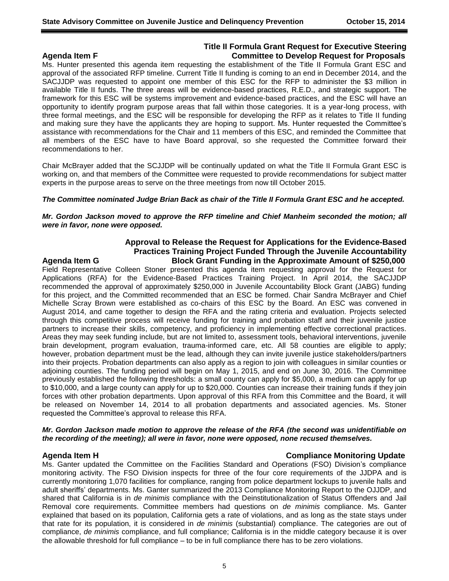## **Title II Formula Grant Request for Executive Steering Agenda Item F Committee to Develop Request for Proposals**

Ms. Hunter presented this agenda item requesting the establishment of the Title II Formula Grant ESC and approval of the associated RFP timeline. Current Title II funding is coming to an end in December 2014, and the SACJJDP was requested to appoint one member of this ESC for the RFP to administer the \$3 million in available Title II funds. The three areas will be evidence-based practices, R.E.D., and strategic support. The framework for this ESC will be systems improvement and evidence-based practices, and the ESC will have an opportunity to identify program purpose areas that fall within those categories. It is a year-long process, with three formal meetings, and the ESC will be responsible for developing the RFP as it relates to Title II funding and making sure they have the applicants they are hoping to support. Ms. Hunter requested the Committee's assistance with recommendations for the Chair and 11 members of this ESC, and reminded the Committee that all members of the ESC have to have Board approval, so she requested the Committee forward their recommendations to her.

Chair McBrayer added that the SCJJDP will be continually updated on what the Title II Formula Grant ESC is working on, and that members of the Committee were requested to provide recommendations for subject matter experts in the purpose areas to serve on the three meetings from now till October 2015.

### *The Committee nominated Judge Brian Back as chair of the Title II Formula Grant ESC and he accepted.*

### *Mr. Gordon Jackson moved to approve the RFP timeline and Chief Manheim seconded the motion; all were in favor, none were opposed.*

## **Approval to Release the Request for Applications for the Evidence-Based Practices Training Project Funded Through the Juvenile Accountability Agenda Item G Block Grant Funding in the Approximate Amount of \$250,000**

Field Representative Colleen Stoner presented this agenda item requesting approval for the Request for Applications (RFA) for the Evidence-Based Practices Training Project. In April 2014, the SACJJDP recommended the approval of approximately \$250,000 in Juvenile Accountability Block Grant (JABG) funding for this project, and the Committed recommended that an ESC be formed. Chair Sandra McBrayer and Chief Michelle Scray Brown were established as co-chairs of this ESC by the Board. An ESC was convened in August 2014, and came together to design the RFA and the rating criteria and evaluation. Projects selected through this competitive process will receive funding for training and probation staff and their juvenile justice partners to increase their skills, competency, and proficiency in implementing effective correctional practices. Areas they may seek funding include, but are not limited to, assessment tools, behavioral interventions, juvenile brain development, program evaluation, trauma-informed care, etc. All 58 counties are eligible to apply; however, probation department must be the lead, although they can invite juvenile justice stakeholders/partners into their projects. Probation departments can also apply as a region to join with colleagues in similar counties or adjoining counties. The funding period will begin on May 1, 2015, and end on June 30, 2016. The Committee previously established the following thresholds: a small county can apply for \$5,000, a medium can apply for up to \$10,000, and a large county can apply for up to \$20,000. Counties can increase their training funds if they join forces with other probation departments. Upon approval of this RFA from this Committee and the Board, it will be released on November 14, 2014 to all probation departments and associated agencies. Ms. Stoner requested the Committee's approval to release this RFA.

### *Mr. Gordon Jackson made motion to approve the release of the RFA (the second was unidentifiable on the recording of the meeting); all were in favor, none were opposed, none recused themselves.*

### **Agenda Item H Compliance Monitoring Update**

Ms. Ganter updated the Committee on the Facilities Standard and Operations (FSO) Division's compliance monitoring activity. The FSO Division inspects for three of the four core requirements of the JJDPA and is currently monitoring 1,070 facilities for compliance, ranging from police department lockups to juvenile halls and adult sheriffs' departments. Ms. Ganter summarized the 2013 Compliance Monitoring Report to the OJJDP, and shared that California is in *de minimis* compliance with the Deinstitutionalization of Status Offenders and Jail Removal core requirements. Committee members had questions on *de minimis* compliance. Ms. Ganter explained that based on its population, California gets a rate of violations, and as long as the state stays under that rate for its population, it is considered in *de minimis* (substantial) compliance. The categories are out of compliance, *de minimis* compliance, and full compliance; California is in the middle category because it is over the allowable threshold for full compliance – to be in full compliance there has to be zero violations.